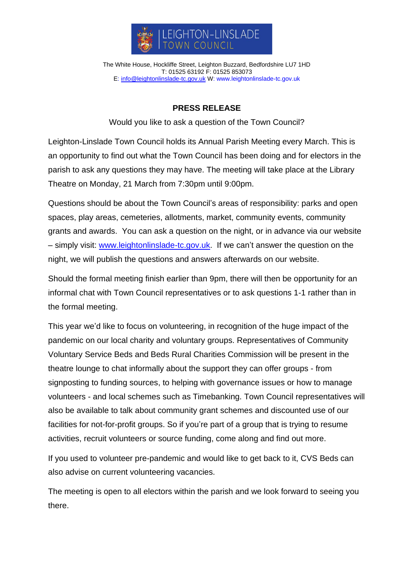

The White House, Hockliffe Street, Leighton Buzzard, Bedfordshire LU7 1HD T: 01525 63192 F: 01525 853073 E: [info@leightonlinslade-tc.gov.uk](mailto:bookings@leightonlinslade-tc.gov.uk) W: [www.leightonlinslade-tc.gov.uk](http://www.leightonlinslade-tc.gov.uk/)

## **PRESS RELEASE**

Would you like to ask a question of the Town Council?

Leighton-Linslade Town Council holds its Annual Parish Meeting every March. This is an opportunity to find out what the Town Council has been doing and for electors in the parish to ask any questions they may have. The meeting will take place at the Library Theatre on Monday, 21 March from 7:30pm until 9:00pm.

Questions should be about the Town Council's areas of responsibility: parks and open spaces, play areas, cemeteries, allotments, market, community events, community grants and awards. You can ask a question on the night, or in advance via our website – simply visit: [www.leightonlinslade-tc.gov.uk.](http://www.leightonlinslade-tc.gov.uk/) If we can't answer the question on the night, we will publish the questions and answers afterwards on our website.

Should the formal meeting finish earlier than 9pm, there will then be opportunity for an informal chat with Town Council representatives or to ask questions 1-1 rather than in the formal meeting.

This year we'd like to focus on volunteering, in recognition of the huge impact of the pandemic on our local charity and voluntary groups. Representatives of Community Voluntary Service Beds and Beds Rural Charities Commission will be present in the theatre lounge to chat informally about the support they can offer groups - from signposting to funding sources, to helping with governance issues or how to manage volunteers - and local schemes such as Timebanking. Town Council representatives will also be available to talk about community grant schemes and discounted use of our facilities for not-for-profit groups. So if you're part of a group that is trying to resume activities, recruit volunteers or source funding, come along and find out more.

If you used to volunteer pre-pandemic and would like to get back to it, CVS Beds can also advise on current volunteering vacancies.

The meeting is open to all electors within the parish and we look forward to seeing you there.